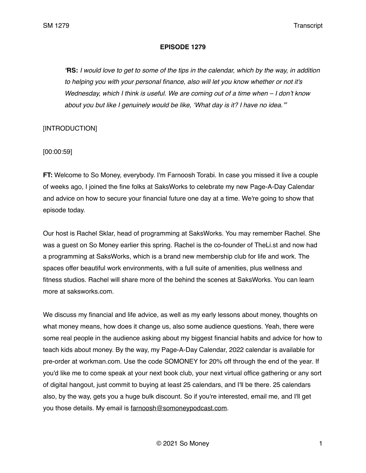#### **EPISODE 1279**

*"***RS:** *I would love to get to some of the tips in the calendar, which by the way, in addition to helping you with your personal finance, also will let you know whether or not it's Wednesday, which I think is useful. We are coming out of a time when – I don't know about you but like I genuinely would be like, 'What day is it? I have no idea.'"*

# [INTRODUCTION]

[00:00:59]

**FT:** Welcome to So Money, everybody. I'm Farnoosh Torabi. In case you missed it live a couple of weeks ago, I joined the fine folks at SaksWorks to celebrate my new Page-A-Day Calendar and advice on how to secure your financial future one day at a time. We're going to show that episode today.

Our host is Rachel Sklar, head of programming at SaksWorks. You may remember Rachel. She was a guest on So Money earlier this spring. Rachel is the co-founder of TheLi.st and now had a programming at SaksWorks, which is a brand new membership club for life and work. The spaces offer beautiful work environments, with a full suite of amenities, plus wellness and fitness studios. Rachel will share more of the behind the scenes at SaksWorks. You can learn more at saksworks.com.

We discuss my financial and life advice, as well as my early lessons about money, thoughts on what money means, how does it change us, also some audience questions. Yeah, there were some real people in the audience asking about my biggest financial habits and advice for how to teach kids about money. By the way, my Page-A-Day Calendar, 2022 calendar is available for pre-order at workman.com. Use the code SOMONEY for 20% off through the end of the year. If you'd like me to come speak at your next book club, your next virtual office gathering or any sort of digital hangout, just commit to buying at least 25 calendars, and I'll be there. 25 calendars also, by the way, gets you a huge bulk discount. So if you're interested, email me, and I'll get you those details. My email is [farnoosh@somoneypodcast.com.](mailto:farnoosh@somoneypodcast.com)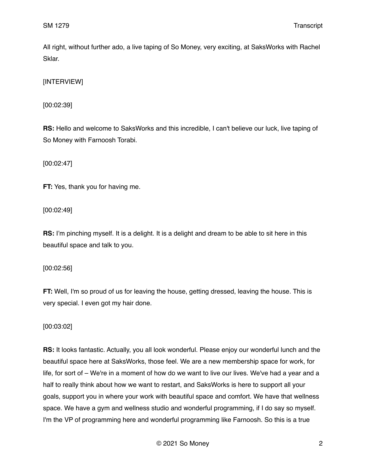All right, without further ado, a live taping of So Money, very exciting, at SaksWorks with Rachel Sklar.

[INTERVIEW]

[00:02:39]

**RS:** Hello and welcome to SaksWorks and this incredible, I can't believe our luck, live taping of So Money with Farnoosh Torabi.

[00:02:47]

**FT:** Yes, thank you for having me.

[00:02:49]

**RS:** I'm pinching myself. It is a delight. It is a delight and dream to be able to sit here in this beautiful space and talk to you.

[00:02:56]

**FT:** Well, I'm so proud of us for leaving the house, getting dressed, leaving the house. This is very special. I even got my hair done.

[00:03:02]

**RS:** It looks fantastic. Actually, you all look wonderful. Please enjoy our wonderful lunch and the beautiful space here at SaksWorks, those feel. We are a new membership space for work, for life, for sort of – We're in a moment of how do we want to live our lives. We've had a year and a half to really think about how we want to restart, and SaksWorks is here to support all your goals, support you in where your work with beautiful space and comfort. We have that wellness space. We have a gym and wellness studio and wonderful programming, if I do say so myself. I'm the VP of programming here and wonderful programming like Farnoosh. So this is a true

© 2021 So Money 2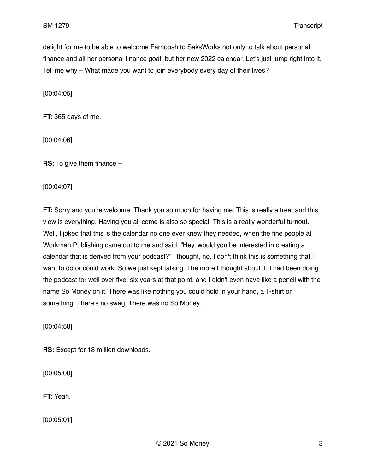delight for me to be able to welcome Farnoosh to SaksWorks not only to talk about personal finance and all her personal finance goal, but her new 2022 calendar. Let's just jump right into it. Tell me why – What made you want to join everybody every day of their lives?

[00:04:05]

**FT:** 365 days of me.

[00:04:06]

**RS:** To give them finance –

[00:04:07]

**FT:** Sorry and you're welcome. Thank you so much for having me. This is really a treat and this view is everything. Having you all come is also so special. This is a really wonderful turnout. Well, I joked that this is the calendar no one ever knew they needed, when the fine people at Workman Publishing came out to me and said, "Hey, would you be interested in creating a calendar that is derived from your podcast?" I thought, no, I don't think this is something that I want to do or could work. So we just kept talking. The more I thought about it, I had been doing the podcast for well over five, six years at that point, and I didn't even have like a pencil with the name So Money on it. There was like nothing you could hold in your hand, a T-shirt or something. There's no swag. There was no So Money.

[00:04:58]

**RS:** Except for 18 million downloads.

[00:05:00]

**FT:** Yeah.

[00:05:01]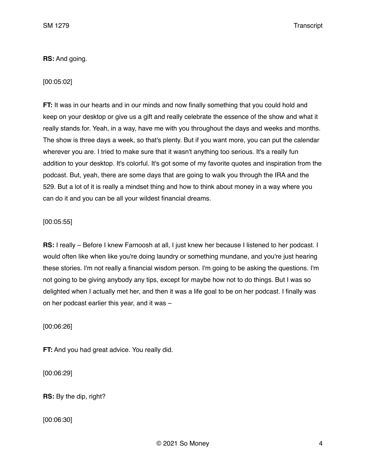# **RS:** And going.

# [00:05:02]

**FT:** It was in our hearts and in our minds and now finally something that you could hold and keep on your desktop or give us a gift and really celebrate the essence of the show and what it really stands for. Yeah, in a way, have me with you throughout the days and weeks and months. The show is three days a week, so that's plenty. But if you want more, you can put the calendar wherever you are. I tried to make sure that it wasn't anything too serious. It's a really fun addition to your desktop. It's colorful. It's got some of my favorite quotes and inspiration from the podcast. But, yeah, there are some days that are going to walk you through the IRA and the 529. But a lot of it is really a mindset thing and how to think about money in a way where you can do it and you can be all your wildest financial dreams.

# [00:05:55]

**RS:** I really – Before I knew Farnoosh at all, I just knew her because I listened to her podcast. I would often like when like you're doing laundry or something mundane, and you're just hearing these stories. I'm not really a financial wisdom person. I'm going to be asking the questions. I'm not going to be giving anybody any tips, except for maybe how not to do things. But I was so delighted when I actually met her, and then it was a life goal to be on her podcast. I finally was on her podcast earlier this year, and it was –

[00:06:26]

**FT:** And you had great advice. You really did.

[00:06:29]

**RS:** By the dip, right?

[00:06:30]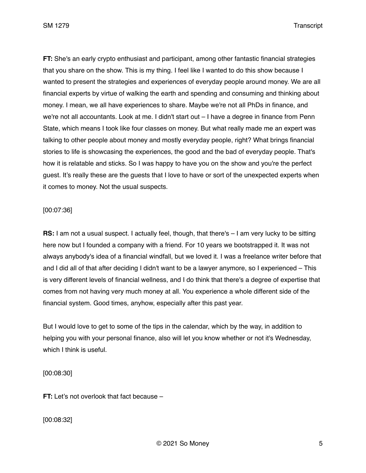**FT:** She's an early crypto enthusiast and participant, among other fantastic financial strategies that you share on the show. This is my thing. I feel like I wanted to do this show because I wanted to present the strategies and experiences of everyday people around money. We are all financial experts by virtue of walking the earth and spending and consuming and thinking about money. I mean, we all have experiences to share. Maybe we're not all PhDs in finance, and we're not all accountants. Look at me. I didn't start out – I have a degree in finance from Penn State, which means I took like four classes on money. But what really made me an expert was talking to other people about money and mostly everyday people, right? What brings financial stories to life is showcasing the experiences, the good and the bad of everyday people. That's how it is relatable and sticks. So I was happy to have you on the show and you're the perfect guest. It's really these are the guests that I love to have or sort of the unexpected experts when it comes to money. Not the usual suspects.

## [00:07:36]

**RS:** I am not a usual suspect. I actually feel, though, that there's  $-$  I am very lucky to be sitting here now but I founded a company with a friend. For 10 years we bootstrapped it. It was not always anybody's idea of a financial windfall, but we loved it. I was a freelance writer before that and I did all of that after deciding I didn't want to be a lawyer anymore, so I experienced – This is very different levels of financial wellness, and I do think that there's a degree of expertise that comes from not having very much money at all. You experience a whole different side of the financial system. Good times, anyhow, especially after this past year.

But I would love to get to some of the tips in the calendar, which by the way, in addition to helping you with your personal finance, also will let you know whether or not it's Wednesday, which I think is useful.

[00:08:30]

**FT:** Let's not overlook that fact because –

[00:08:32]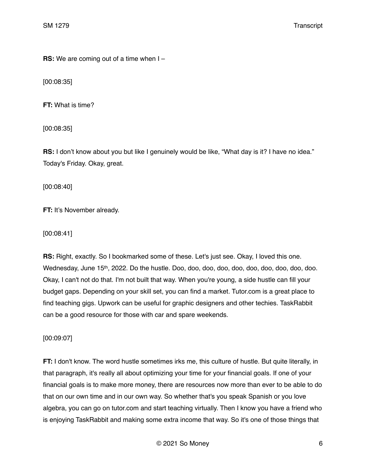**RS:** We are coming out of a time when I –

[00:08:35]

**FT:** What is time?

[00:08:35]

**RS:** I don't know about you but like I genuinely would be like, "What day is it? I have no idea." Today's Friday. Okay, great.

[00:08:40]

**FT:** It's November already.

[00:08:41]

**RS:** Right, exactly. So I bookmarked some of these. Let's just see. Okay, I loved this one. Wednesday, June 15th, 2022. Do the hustle. Doo, doo, doo, doo, doo, doo, doo, doo, doo, doo. Okay, I can't not do that. I'm not built that way. When you're young, a side hustle can fill your budget gaps. Depending on your skill set, you can find a market. Tutor.com is a great place to find teaching gigs. Upwork can be useful for graphic designers and other techies. TaskRabbit can be a good resource for those with car and spare weekends.

[00:09:07]

**FT:** I don't know. The word hustle sometimes irks me, this culture of hustle. But quite literally, in that paragraph, it's really all about optimizing your time for your financial goals. If one of your financial goals is to make more money, there are resources now more than ever to be able to do that on our own time and in our own way. So whether that's you speak Spanish or you love algebra, you can go on tutor.com and start teaching virtually. Then I know you have a friend who is enjoying TaskRabbit and making some extra income that way. So it's one of those things that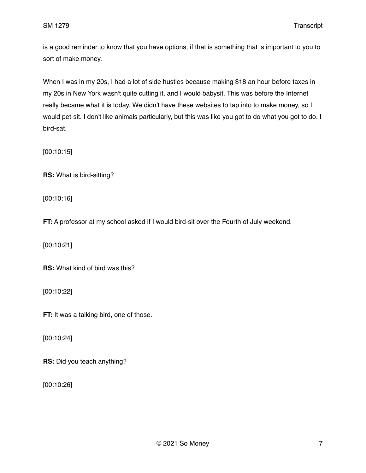is a good reminder to know that you have options, if that is something that is important to you to sort of make money.

When I was in my 20s, I had a lot of side hustles because making \$18 an hour before taxes in my 20s in New York wasn't quite cutting it, and I would babysit. This was before the Internet really became what it is today. We didn't have these websites to tap into to make money, so I would pet-sit. I don't like animals particularly, but this was like you got to do what you got to do. I bird-sat.

[00:10:15]

**RS:** What is bird-sitting?

[00:10:16]

**FT:** A professor at my school asked if I would bird-sit over the Fourth of July weekend.

[00:10:21]

**RS:** What kind of bird was this?

[00:10:22]

**FT:** It was a talking bird, one of those.

[00:10:24]

**RS:** Did you teach anything?

[00:10:26]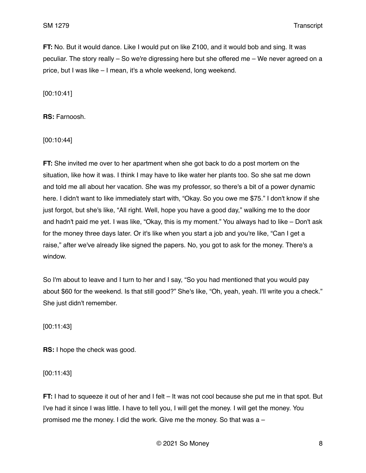**FT:** No. But it would dance. Like I would put on like Z100, and it would bob and sing. It was peculiar. The story really – So we're digressing here but she offered me – We never agreed on a price, but I was like – I mean, it's a whole weekend, long weekend.

[00:10:41]

**RS:** Farnoosh.

[00:10:44]

**FT:** She invited me over to her apartment when she got back to do a post mortem on the situation, like how it was. I think I may have to like water her plants too. So she sat me down and told me all about her vacation. She was my professor, so there's a bit of a power dynamic here. I didn't want to like immediately start with, "Okay. So you owe me \$75." I don't know if she just forgot, but she's like, "All right. Well, hope you have a good day," walking me to the door and hadn't paid me yet. I was like, "Okay, this is my moment." You always had to like – Don't ask for the money three days later. Or it's like when you start a job and you're like, "Can I get a raise," after we've already like signed the papers. No, you got to ask for the money. There's a window.

So I'm about to leave and I turn to her and I say, "So you had mentioned that you would pay about \$60 for the weekend. Is that still good?" She's like, "Oh, yeah, yeah. I'll write you a check." She just didn't remember.

[00:11:43]

**RS:** I hope the check was good.

[00:11:43]

**FT:** I had to squeeze it out of her and I felt – It was not cool because she put me in that spot. But I've had it since I was little. I have to tell you, I will get the money. I will get the money. You promised me the money. I did the work. Give me the money. So that was a –

© 2021 So Money 8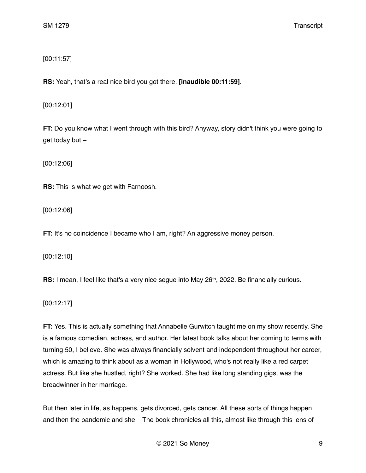[00:11:57]

**RS:** Yeah, that's a real nice bird you got there. **[inaudible 00:11:59]**.

[00:12:01]

**FT:** Do you know what I went through with this bird? Anyway, story didn't think you were going to get today but –

[00:12:06]

**RS:** This is what we get with Farnoosh.

[00:12:06]

**FT:** It's no coincidence I became who I am, right? An aggressive money person.

[00:12:10]

**RS:** I mean, I feel like that's a very nice seque into May 26<sup>th</sup>, 2022. Be financially curious.

[00:12:17]

**FT:** Yes. This is actually something that Annabelle Gurwitch taught me on my show recently. She is a famous comedian, actress, and author. Her latest book talks about her coming to terms with turning 50, I believe. She was always financially solvent and independent throughout her career, which is amazing to think about as a woman in Hollywood, who's not really like a red carpet actress. But like she hustled, right? She worked. She had like long standing gigs, was the breadwinner in her marriage.

But then later in life, as happens, gets divorced, gets cancer. All these sorts of things happen and then the pandemic and she – The book chronicles all this, almost like through this lens of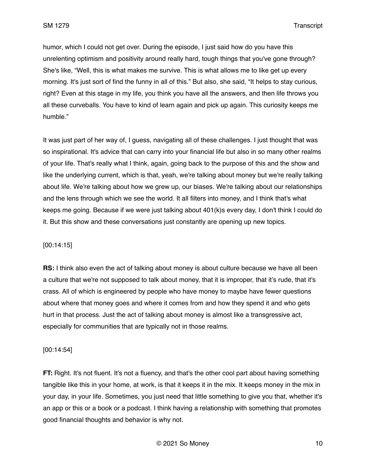humor, which I could not get over. During the episode, I just said how do you have this unrelenting optimism and positivity around really hard, tough things that you've gone through? She's like, "Well, this is what makes me survive. This is what allows me to like get up every morning. It's just sort of find the funny in all of this." But also, she said, "It helps to stay curious, right? Even at this stage in my life, you think you have all the answers, and then life throws you all these curveballs. You have to kind of learn again and pick up again. This curiosity keeps me humble."

It was just part of her way of, I guess, navigating all of these challenges. I just thought that was so inspirational. It's advice that can carry into your financial life but also in so many other realms of your life. That's really what I think, again, going back to the purpose of this and the show and like the underlying current, which is that, yeah, we're talking about money but we're really talking about life. We're talking about how we grew up, our biases. We're talking about our relationships and the lens through which we see the world. It all filters into money, and I think that's what keeps me going. Because if we were just talking about 401(k)s every day, I don't think I could do it. But this show and these conversations just constantly are opening up new topics.

## [00:14:15]

**RS:** I think also even the act of talking about money is about culture because we have all been a culture that we're not supposed to talk about money, that it is improper, that it's rude, that it's crass. All of which is engineered by people who have money to maybe have fewer questions about where that money goes and where it comes from and how they spend it and who gets hurt in that process. Just the act of talking about money is almost like a transgressive act, especially for communities that are typically not in those realms.

## [00:14:54]

**FT:** Right. It's not fluent. It's not a fluency, and that's the other cool part about having something tangible like this in your home, at work, is that it keeps it in the mix. It keeps money in the mix in your day, in your life. Sometimes, you just need that little something to give you that, whether it's an app or this or a book or a podcast. I think having a relationship with something that promotes good financial thoughts and behavior is why not.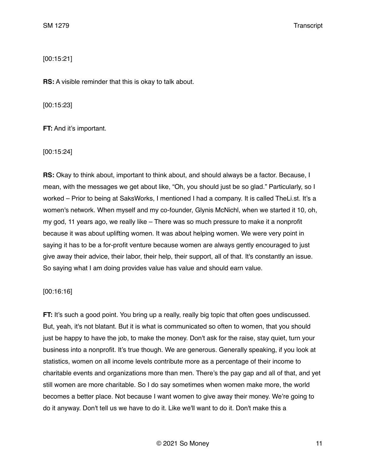[00:15:21]

**RS:** A visible reminder that this is okay to talk about.

[00:15:23]

**FT:** And it's important.

[00:15:24]

**RS:** Okay to think about, important to think about, and should always be a factor. Because, I mean, with the messages we get about like, "Oh, you should just be so glad." Particularly, so I worked – Prior to being at SaksWorks, I mentioned I had a company. It is called TheLi.st. It's a women's network. When myself and my co-founder, Glynis McNichl, when we started it 10, oh, my god, 11 years ago, we really like – There was so much pressure to make it a nonprofit because it was about uplifting women. It was about helping women. We were very point in saying it has to be a for-profit venture because women are always gently encouraged to just give away their advice, their labor, their help, their support, all of that. It's constantly an issue. So saying what I am doing provides value has value and should earn value.

#### [00:16:16]

**FT:** It's such a good point. You bring up a really, really big topic that often goes undiscussed. But, yeah, it's not blatant. But it is what is communicated so often to women, that you should just be happy to have the job, to make the money. Don't ask for the raise, stay quiet, turn your business into a nonprofit. It's true though. We are generous. Generally speaking, if you look at statistics, women on all income levels contribute more as a percentage of their income to charitable events and organizations more than men. There's the pay gap and all of that, and yet still women are more charitable. So I do say sometimes when women make more, the world becomes a better place. Not because I want women to give away their money. We're going to do it anyway. Don't tell us we have to do it. Like we'll want to do it. Don't make this a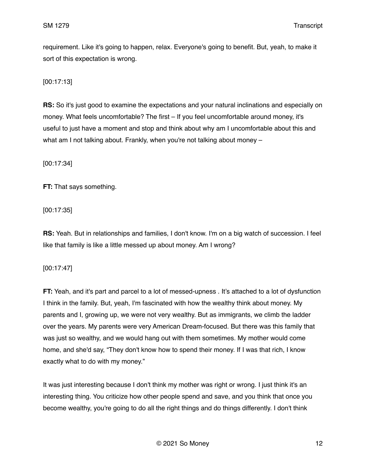requirement. Like it's going to happen, relax. Everyone's going to benefit. But, yeah, to make it sort of this expectation is wrong.

[00:17:13]

**RS:** So it's just good to examine the expectations and your natural inclinations and especially on money. What feels uncomfortable? The first – If you feel uncomfortable around money, it's useful to just have a moment and stop and think about why am I uncomfortable about this and what am I not talking about. Frankly, when you're not talking about money –

[00:17:34]

**FT:** That says something.

[00:17:35]

**RS:** Yeah. But in relationships and families, I don't know. I'm on a big watch of succession. I feel like that family is like a little messed up about money. Am I wrong?

[00:17:47]

**FT:** Yeah, and it's part and parcel to a lot of messed-upness . It's attached to a lot of dysfunction I think in the family. But, yeah, I'm fascinated with how the wealthy think about money. My parents and I, growing up, we were not very wealthy. But as immigrants, we climb the ladder over the years. My parents were very American Dream-focused. But there was this family that was just so wealthy, and we would hang out with them sometimes. My mother would come home, and she'd say, "They don't know how to spend their money. If I was that rich, I know exactly what to do with my money."

It was just interesting because I don't think my mother was right or wrong. I just think it's an interesting thing. You criticize how other people spend and save, and you think that once you become wealthy, you're going to do all the right things and do things differently. I don't think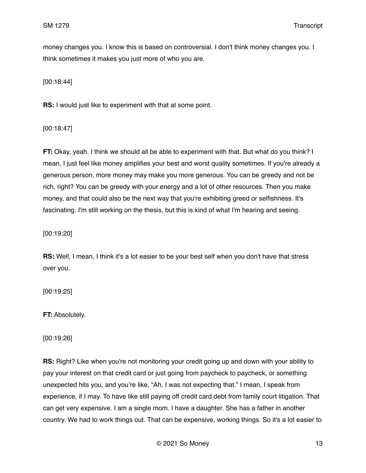money changes you. I know this is based on controversial. I don't think money changes you. I think sometimes it makes you just more of who you are.

[00:18:44]

**RS:** I would just like to experiment with that at some point.

[00:18:47]

**FT:** Okay, yeah. I think we should all be able to experiment with that. But what do you think? I mean, I just feel like money amplifies your best and worst quality sometimes. If you're already a generous person, more money may make you more generous. You can be greedy and not be rich, right? You can be greedy with your energy and a lot of other resources. Then you make money, and that could also be the next way that you're exhibiting greed or selfishness. It's fascinating. I'm still working on the thesis, but this is kind of what I'm hearing and seeing.

[00:19:20]

**RS:** Well, I mean, I think it's a lot easier to be your best self when you don't have that stress over you.

[00:19:25]

**FT:** Absolutely.

[00:19:26]

**RS:** Right? Like when you're not monitoring your credit going up and down with your ability to pay your interest on that credit card or just going from paycheck to paycheck, or something unexpected hits you, and you're like, "Ah, I was not expecting that." I mean, I speak from experience, if I may. To have like still paying off credit card debt from family court litigation. That can get very expensive. I am a single mom. I have a daughter. She has a father in another country. We had to work things out. That can be expensive, working things. So it's a lot easier to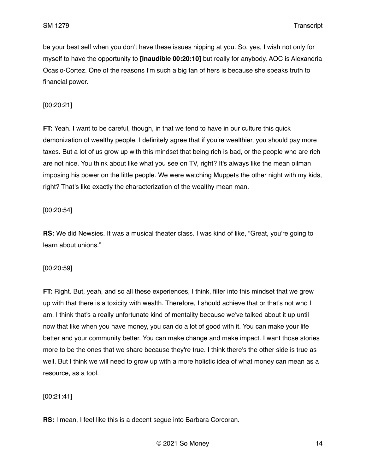be your best self when you don't have these issues nipping at you. So, yes, I wish not only for myself to have the opportunity to **[inaudible 00:20:10]** but really for anybody. AOC is Alexandria Ocasio-Cortez. One of the reasons I'm such a big fan of hers is because she speaks truth to financial power.

## [00:20:21]

**FT:** Yeah. I want to be careful, though, in that we tend to have in our culture this quick demonization of wealthy people. I definitely agree that if you're wealthier, you should pay more taxes. But a lot of us grow up with this mindset that being rich is bad, or the people who are rich are not nice. You think about like what you see on TV, right? It's always like the mean oilman imposing his power on the little people. We were watching Muppets the other night with my kids, right? That's like exactly the characterization of the wealthy mean man.

# [00:20:54]

**RS:** We did Newsies. It was a musical theater class. I was kind of like, "Great, you're going to learn about unions."

## [00:20:59]

**FT:** Right. But, yeah, and so all these experiences, I think, filter into this mindset that we grew up with that there is a toxicity with wealth. Therefore, I should achieve that or that's not who I am. I think that's a really unfortunate kind of mentality because we've talked about it up until now that like when you have money, you can do a lot of good with it. You can make your life better and your community better. You can make change and make impact. I want those stories more to be the ones that we share because they're true. I think there's the other side is true as well. But I think we will need to grow up with a more holistic idea of what money can mean as a resource, as a tool.

# [00:21:41]

**RS:** I mean, I feel like this is a decent segue into Barbara Corcoran.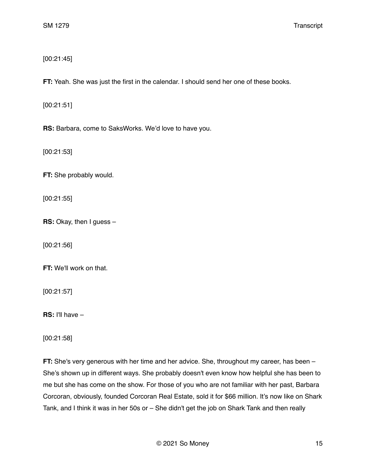# [00:21:45]

**FT:** Yeah. She was just the first in the calendar. I should send her one of these books.

[00:21:51]

**RS:** Barbara, come to SaksWorks. We'd love to have you.

[00:21:53]

**FT:** She probably would.

[00:21:55]

**RS:** Okay, then I guess –

[00:21:56]

**FT:** We'll work on that.

[00:21:57]

**RS:** I'll have –

[00:21:58]

**FT:** She's very generous with her time and her advice. She, throughout my career, has been – She's shown up in different ways. She probably doesn't even know how helpful she has been to me but she has come on the show. For those of you who are not familiar with her past, Barbara Corcoran, obviously, founded Corcoran Real Estate, sold it for \$66 million. It's now like on Shark Tank, and I think it was in her 50s or – She didn't get the job on Shark Tank and then really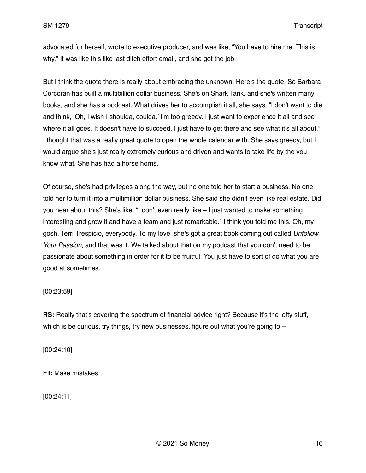advocated for herself, wrote to executive producer, and was like, "You have to hire me. This is why." It was like this like last ditch effort email, and she got the job.

But I think the quote there is really about embracing the unknown. Here's the quote. So Barbara Corcoran has built a multibillion dollar business. She's on Shark Tank, and she's written many books, and she has a podcast. What drives her to accomplish it all, she says, "I don't want to die and think, 'Oh, I wish I shoulda, coulda.' I'm too greedy. I just want to experience it all and see where it all goes. It doesn't have to succeed. I just have to get there and see what it's all about." I thought that was a really great quote to open the whole calendar with. She says greedy, but I would argue she's just really extremely curious and driven and wants to take life by the you know what. She has had a horse horns.

Of course, she's had privileges along the way, but no one told her to start a business. No one told her to turn it into a multimillion dollar business. She said she didn't even like real estate. Did you hear about this? She's like, "I don't even really like – I just wanted to make something interesting and grow it and have a team and just remarkable." I think you told me this. Oh, my gosh. Terri Trespicio, everybody. To my love, she's got a great book coming out called *Unfollow Your Passion*, and that was it. We talked about that on my podcast that you don't need to be passionate about something in order for it to be fruitful. You just have to sort of do what you are good at sometimes.

## [00:23:59]

**RS:** Really that's covering the spectrum of financial advice right? Because it's the lofty stuff, which is be curious, try things, try new businesses, figure out what you're going to  $-$ 

[00:24:10]

**FT:** Make mistakes.

[00:24:11]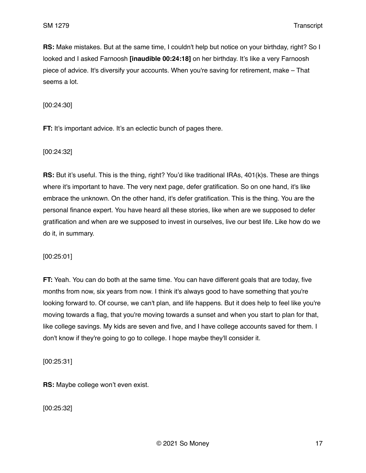**RS:** Make mistakes. But at the same time, I couldn't help but notice on your birthday, right? So I looked and I asked Farnoosh **[inaudible 00:24:18]** on her birthday. It's like a very Farnoosh piece of advice. It's diversify your accounts. When you're saving for retirement, make – That seems a lot.

[00:24:30]

**FT:** It's important advice. It's an eclectic bunch of pages there.

[00:24:32]

**RS:** But it's useful. This is the thing, right? You'd like traditional IRAs, 401(k)s. These are things where it's important to have. The very next page, defer gratification. So on one hand, it's like embrace the unknown. On the other hand, it's defer gratification. This is the thing. You are the personal finance expert. You have heard all these stories, like when are we supposed to defer gratification and when are we supposed to invest in ourselves, live our best life. Like how do we do it, in summary.

[00:25:01]

**FT:** Yeah. You can do both at the same time. You can have different goals that are today, five months from now, six years from now. I think it's always good to have something that you're looking forward to. Of course, we can't plan, and life happens. But it does help to feel like you're moving towards a flag, that you're moving towards a sunset and when you start to plan for that, like college savings. My kids are seven and five, and I have college accounts saved for them. I don't know if they're going to go to college. I hope maybe they'll consider it.

[00:25:31]

**RS:** Maybe college won't even exist.

[00:25:32]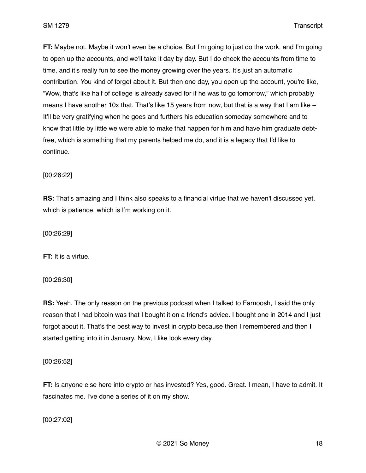**FT:** Maybe not. Maybe it won't even be a choice. But I'm going to just do the work, and I'm going to open up the accounts, and we'll take it day by day. But I do check the accounts from time to time, and it's really fun to see the money growing over the years. It's just an automatic contribution. You kind of forget about it. But then one day, you open up the account, you're like, "Wow, that's like half of college is already saved for if he was to go tomorrow," which probably means I have another 10x that. That's like 15 years from now, but that is a way that I am like  $-$ It'll be very gratifying when he goes and furthers his education someday somewhere and to know that little by little we were able to make that happen for him and have him graduate debtfree, which is something that my parents helped me do, and it is a legacy that I'd like to continue.

[00:26:22]

**RS:** That's amazing and I think also speaks to a financial virtue that we haven't discussed yet, which is patience, which is I'm working on it.

[00:26:29]

**FT:** It is a virtue.

[00:26:30]

**RS:** Yeah. The only reason on the previous podcast when I talked to Farnoosh, I said the only reason that I had bitcoin was that I bought it on a friend's advice. I bought one in 2014 and I just forgot about it. That's the best way to invest in crypto because then I remembered and then I started getting into it in January. Now, I like look every day.

[00:26:52]

**FT:** Is anyone else here into crypto or has invested? Yes, good. Great. I mean, I have to admit. It fascinates me. I've done a series of it on my show.

[00:27:02]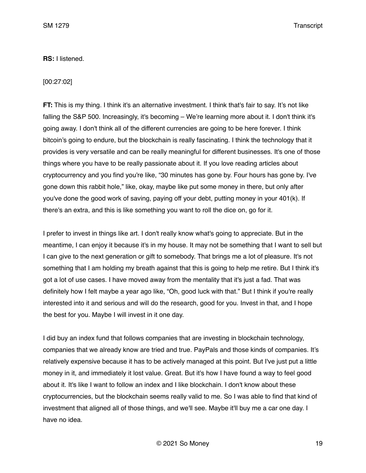#### **RS:** I listened.

#### [00:27:02]

**FT:** This is my thing. I think it's an alternative investment. I think that's fair to say. It's not like falling the S&P 500. Increasingly, it's becoming – We're learning more about it. I don't think it's going away. I don't think all of the different currencies are going to be here forever. I think bitcoin's going to endure, but the blockchain is really fascinating. I think the technology that it provides is very versatile and can be really meaningful for different businesses. It's one of those things where you have to be really passionate about it. If you love reading articles about cryptocurrency and you find you're like, "30 minutes has gone by. Four hours has gone by. I've gone down this rabbit hole," like, okay, maybe like put some money in there, but only after you've done the good work of saving, paying off your debt, putting money in your 401(k). If there's an extra, and this is like something you want to roll the dice on, go for it.

I prefer to invest in things like art. I don't really know what's going to appreciate. But in the meantime, I can enjoy it because it's in my house. It may not be something that I want to sell but I can give to the next generation or gift to somebody. That brings me a lot of pleasure. It's not something that I am holding my breath against that this is going to help me retire. But I think it's got a lot of use cases. I have moved away from the mentality that it's just a fad. That was definitely how I felt maybe a year ago like, "Oh, good luck with that." But I think if you're really interested into it and serious and will do the research, good for you. Invest in that, and I hope the best for you. Maybe I will invest in it one day.

I did buy an index fund that follows companies that are investing in blockchain technology, companies that we already know are tried and true. PayPals and those kinds of companies. It's relatively expensive because it has to be actively managed at this point. But I've just put a little money in it, and immediately it lost value. Great. But it's how I have found a way to feel good about it. It's like I want to follow an index and I like blockchain. I don't know about these cryptocurrencies, but the blockchain seems really valid to me. So I was able to find that kind of investment that aligned all of those things, and we'll see. Maybe it'll buy me a car one day. I have no idea.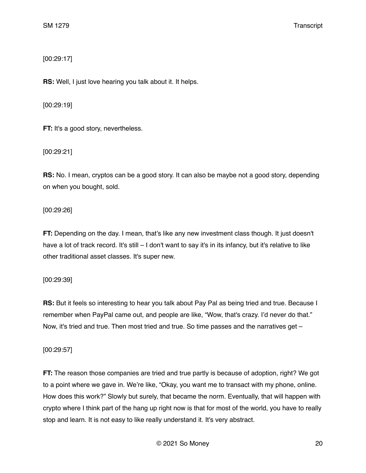[00:29:17]

**RS:** Well, I just love hearing you talk about it. It helps.

[00:29:19]

**FT:** It's a good story, nevertheless.

[00:29:21]

**RS:** No. I mean, cryptos can be a good story. It can also be maybe not a good story, depending on when you bought, sold.

[00:29:26]

**FT:** Depending on the day. I mean, that's like any new investment class though. It just doesn't have a lot of track record. It's still – I don't want to say it's in its infancy, but it's relative to like other traditional asset classes. It's super new.

[00:29:39]

**RS:** But it feels so interesting to hear you talk about Pay Pal as being tried and true. Because I remember when PayPal came out, and people are like, "Wow, that's crazy. I'd never do that." Now, it's tried and true. Then most tried and true. So time passes and the narratives get –

[00:29:57]

**FT:** The reason those companies are tried and true partly is because of adoption, right? We got to a point where we gave in. We're like, "Okay, you want me to transact with my phone, online. How does this work?" Slowly but surely, that became the norm. Eventually, that will happen with crypto where I think part of the hang up right now is that for most of the world, you have to really stop and learn. It is not easy to like really understand it. It's very abstract.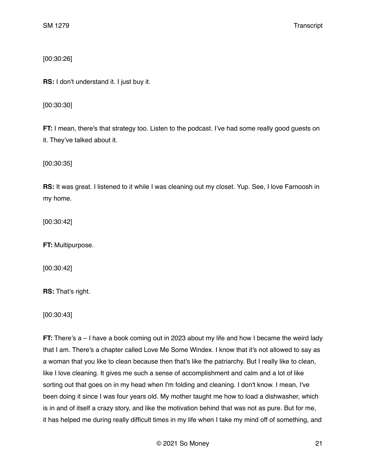[00:30:26]

**RS:** I don't understand it. I just buy it.

[00:30:30]

**FT:** I mean, there's that strategy too. Listen to the podcast. I've had some really good guests on it. They've talked about it.

[00:30:35]

**RS:** It was great. I listened to it while I was cleaning out my closet. Yup. See, I love Farnoosh in my home.

[00:30:42]

**FT:** Multipurpose.

[00:30:42]

**RS:** That's right.

[00:30:43]

**FT:** There's a – I have a book coming out in 2023 about my life and how I became the weird lady that I am. There's a chapter called Love Me Some Windex. I know that it's not allowed to say as a woman that you like to clean because then that's like the patriarchy. But I really like to clean, like I love cleaning. It gives me such a sense of accomplishment and calm and a lot of like sorting out that goes on in my head when I'm folding and cleaning. I don't know. I mean, I've been doing it since I was four years old. My mother taught me how to load a dishwasher, which is in and of itself a crazy story, and like the motivation behind that was not as pure. But for me, it has helped me during really difficult times in my life when I take my mind off of something, and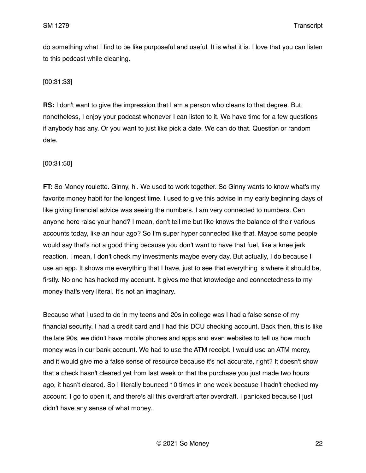do something what I find to be like purposeful and useful. It is what it is. I love that you can listen to this podcast while cleaning.

## [00:31:33]

**RS:** I don't want to give the impression that I am a person who cleans to that degree. But nonetheless, I enjoy your podcast whenever I can listen to it. We have time for a few questions if anybody has any. Or you want to just like pick a date. We can do that. Question or random date.

## [00:31:50]

**FT:** So Money roulette. Ginny, hi. We used to work together. So Ginny wants to know what's my favorite money habit for the longest time. I used to give this advice in my early beginning days of like giving financial advice was seeing the numbers. I am very connected to numbers. Can anyone here raise your hand? I mean, don't tell me but like knows the balance of their various accounts today, like an hour ago? So I'm super hyper connected like that. Maybe some people would say that's not a good thing because you don't want to have that fuel, like a knee jerk reaction. I mean, I don't check my investments maybe every day. But actually, I do because I use an app. It shows me everything that I have, just to see that everything is where it should be, firstly. No one has hacked my account. It gives me that knowledge and connectedness to my money that's very literal. It's not an imaginary.

Because what I used to do in my teens and 20s in college was I had a false sense of my financial security. I had a credit card and I had this DCU checking account. Back then, this is like the late 90s, we didn't have mobile phones and apps and even websites to tell us how much money was in our bank account. We had to use the ATM receipt. I would use an ATM mercy, and it would give me a false sense of resource because it's not accurate, right? It doesn't show that a check hasn't cleared yet from last week or that the purchase you just made two hours ago, it hasn't cleared. So I literally bounced 10 times in one week because I hadn't checked my account. I go to open it, and there's all this overdraft after overdraft. I panicked because I just didn't have any sense of what money.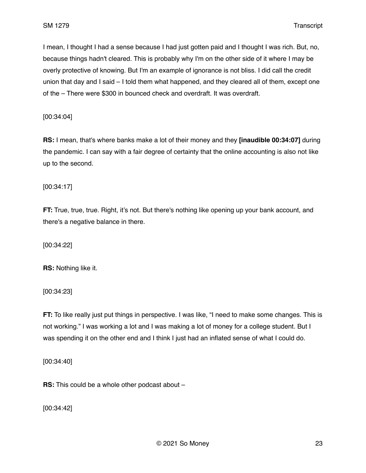I mean, I thought I had a sense because I had just gotten paid and I thought I was rich. But, no, because things hadn't cleared. This is probably why I'm on the other side of it where I may be overly protective of knowing. But I'm an example of ignorance is not bliss. I did call the credit union that day and I said – I told them what happened, and they cleared all of them, except one of the – There were \$300 in bounced check and overdraft. It was overdraft.

[00:34:04]

**RS:** I mean, that's where banks make a lot of their money and they **[inaudible 00:34:07]** during the pandemic. I can say with a fair degree of certainty that the online accounting is also not like up to the second.

[00:34:17]

**FT:** True, true, true. Right, it's not. But there's nothing like opening up your bank account, and there's a negative balance in there.

[00:34:22]

**RS:** Nothing like it.

[00:34:23]

**FT:** To like really just put things in perspective. I was like, "I need to make some changes. This is not working." I was working a lot and I was making a lot of money for a college student. But I was spending it on the other end and I think I just had an inflated sense of what I could do.

[00:34:40]

**RS:** This could be a whole other podcast about –

[00:34:42]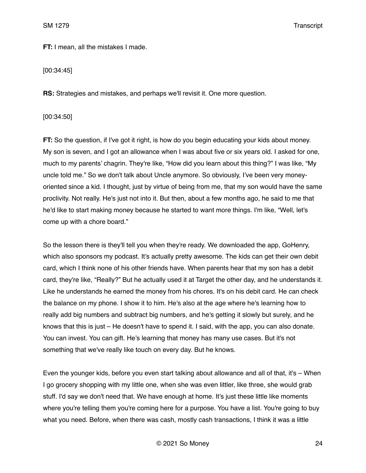**FT:** I mean, all the mistakes I made.

[00:34:45]

**RS:** Strategies and mistakes, and perhaps we'll revisit it. One more question.

[00:34:50]

**FT:** So the question, if I've got it right, is how do you begin educating your kids about money. My son is seven, and I got an allowance when I was about five or six years old. I asked for one, much to my parents' chagrin. They're like, "How did you learn about this thing?" I was like, "My uncle told me." So we don't talk about Uncle anymore. So obviously, I've been very moneyoriented since a kid. I thought, just by virtue of being from me, that my son would have the same proclivity. Not really. He's just not into it. But then, about a few months ago, he said to me that he'd like to start making money because he started to want more things. I'm like, "Well, let's come up with a chore board."

So the lesson there is they'll tell you when they're ready. We downloaded the app, GoHenry, which also sponsors my podcast. It's actually pretty awesome. The kids can get their own debit card, which I think none of his other friends have. When parents hear that my son has a debit card, they're like, "Really?" But he actually used it at Target the other day, and he understands it. Like he understands he earned the money from his chores. It's on his debit card. He can check the balance on my phone. I show it to him. He's also at the age where he's learning how to really add big numbers and subtract big numbers, and he's getting it slowly but surely, and he knows that this is just – He doesn't have to spend it. I said, with the app, you can also donate. You can invest. You can gift. He's learning that money has many use cases. But it's not something that we've really like touch on every day. But he knows.

Even the younger kids, before you even start talking about allowance and all of that, it's – When I go grocery shopping with my little one, when she was even littler, like three, she would grab stuff. I'd say we don't need that. We have enough at home. It's just these little like moments where you're telling them you're coming here for a purpose. You have a list. You're going to buy what you need. Before, when there was cash, mostly cash transactions, I think it was a little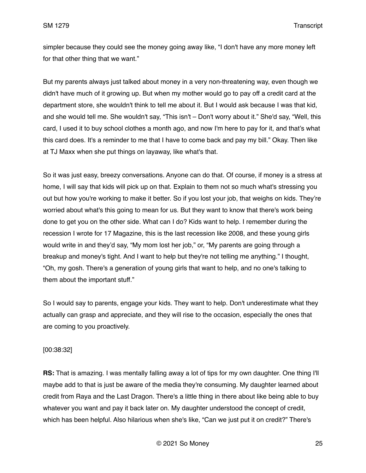simpler because they could see the money going away like, "I don't have any more money left for that other thing that we want."

But my parents always just talked about money in a very non-threatening way, even though we didn't have much of it growing up. But when my mother would go to pay off a credit card at the department store, she wouldn't think to tell me about it. But I would ask because I was that kid, and she would tell me. She wouldn't say, "This isn't – Don't worry about it." She'd say, "Well, this card, I used it to buy school clothes a month ago, and now I'm here to pay for it, and that's what this card does. It's a reminder to me that I have to come back and pay my bill." Okay. Then like at TJ Maxx when she put things on layaway, like what's that.

So it was just easy, breezy conversations. Anyone can do that. Of course, if money is a stress at home, I will say that kids will pick up on that. Explain to them not so much what's stressing you out but how you're working to make it better. So if you lost your job, that weighs on kids. They're worried about what's this going to mean for us. But they want to know that there's work being done to get you on the other side. What can I do? Kids want to help. I remember during the recession I wrote for 17 Magazine, this is the last recession like 2008, and these young girls would write in and they'd say, "My mom lost her job," or, "My parents are going through a breakup and money's tight. And I want to help but they're not telling me anything." I thought, "Oh, my gosh. There's a generation of young girls that want to help, and no one's talking to them about the important stuff."

So I would say to parents, engage your kids. They want to help. Don't underestimate what they actually can grasp and appreciate, and they will rise to the occasion, especially the ones that are coming to you proactively.

## [00:38:32]

**RS:** That is amazing. I was mentally falling away a lot of tips for my own daughter. One thing I'll maybe add to that is just be aware of the media they're consuming. My daughter learned about credit from Raya and the Last Dragon. There's a little thing in there about like being able to buy whatever you want and pay it back later on. My daughter understood the concept of credit, which has been helpful. Also hilarious when she's like, "Can we just put it on credit?" There's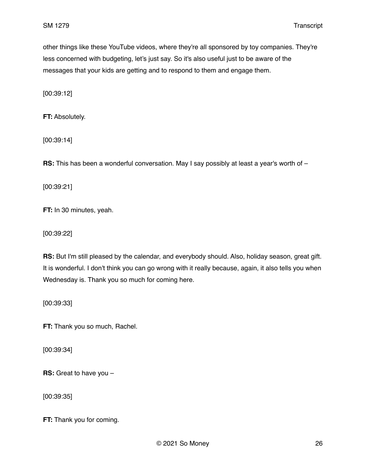other things like these YouTube videos, where they're all sponsored by toy companies. They're less concerned with budgeting, let's just say. So it's also useful just to be aware of the messages that your kids are getting and to respond to them and engage them.

[00:39:12]

**FT:** Absolutely.

[00:39:14]

**RS:** This has been a wonderful conversation. May I say possibly at least a year's worth of –

[00:39:21]

**FT:** In 30 minutes, yeah.

[00:39:22]

**RS:** But I'm still pleased by the calendar, and everybody should. Also, holiday season, great gift. It is wonderful. I don't think you can go wrong with it really because, again, it also tells you when Wednesday is. Thank you so much for coming here.

[00:39:33]

**FT:** Thank you so much, Rachel.

[00:39:34]

**RS:** Great to have you –

[00:39:35]

**FT:** Thank you for coming.